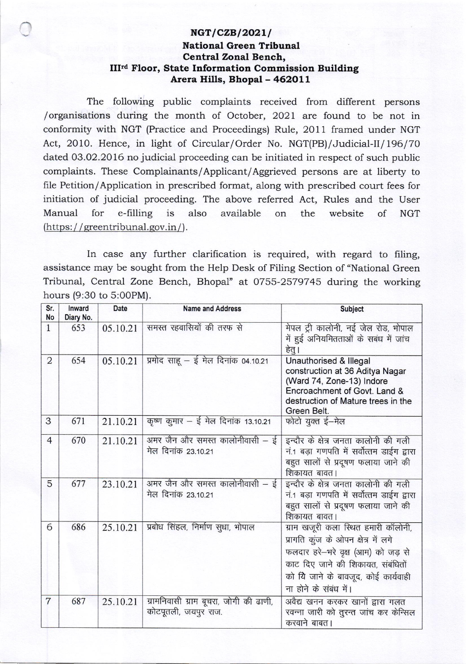## NGT/CZB/2021/ **National Green Tribunal Central Zonal Bench,** III<sup>rd</sup> Floor, State Information Commission Building Arera Hills, Bhopal - 462011

The following public complaints received from different persons /organisations during the month of October, 2021 are found to be not in conformity with NGT (Practice and Proceedings) Rule, 2011 framed under NGT Act, 2010. Hence, in light of Circular/Order No. NGT(PB)/Judicial-II/196/70 dated 03.02.2016 no judicial proceeding can be initiated in respect of such public complaints. These Complainants/Applicant/Aggrieved persons are at liberty to file Petition/Application in prescribed format, along with prescribed court fees for initiation of judicial proceeding. The above referred Act, Rules and the User available Manual for e-filling is also on the website of **NGT** (https://greentribunal.gov.in/).

In case any further clarification is required, with regard to filing, assistance may be sought from the Help Desk of Filing Section of "National Green Tribunal, Central Zone Bench, Bhopal" at 0755-2579745 during the working hours (9:30 to 5:00PM).

| Sr.<br>No      | Inward<br>Diary No. | Date     | <b>Name and Address</b>                                        | <b>Subject</b>                                                                                                                                                                                                        |
|----------------|---------------------|----------|----------------------------------------------------------------|-----------------------------------------------------------------------------------------------------------------------------------------------------------------------------------------------------------------------|
| $\mathbf{1}$   | 653                 | 05.10.21 | समस्त रहवासियों की तरफ से                                      | मेपल ट्री कालोनी, नई जेल रोड, भोपाल<br>में हुई अनियमितताओं के सबंध में जांच<br>हेतु।                                                                                                                                  |
| 2              | 654                 | 05.10.21 | प्रमोद साहू – ई मेल दिनांक 04.10.21                            | Unauthorised & Illegal<br>construction at 36 Aditya Nagar<br>(Ward 74, Zone-13) Indore<br>Encroachment of Govt. Land &<br>destruction of Mature trees in the<br>Green Belt.                                           |
| 3              | 671                 | 21.10.21 | कृष्ण कुमार – ई मेल दिनांक 13.10.21                            | फोटो युक्त ई-मेल                                                                                                                                                                                                      |
| $\overline{4}$ | 670                 | 21.10.21 | अमर जैन और समस्त कालोनीवासी – ई<br>मेल दिनांक 23.10.21         | इन्दौर के क्षेत्र जनता कालोनी की गली<br>नं.1 बड़ा गणपति में सर्वोत्तम डाईग द्वारा<br>बहुत सालों से प्रदूषण फलाया जाने की<br>शिकायत बावत।                                                                              |
| 5              | 677                 | 23.10.21 | अमर जैन और समस्त कालोनीवासी – ई<br>मेल दिनांक 23.10.21         | इन्दौर के क्षेत्र जनता कालोनी की गली<br>नं.1 बड़ा गणपति में सर्वोत्तम डाईग द्वारा<br>बहुत सालों से प्रदूषण फलाया जाने की<br>शिकायत बावत।                                                                              |
| 6              | 686                 | 25.10.21 | प्रबोध सिंहल, निर्माण सुधा, भोपाल                              | ग्राम खजूरी कला स्थित हमारी कॉलोनी,<br>प्रागति कूंज के ओपन क्षेत्र में लगे<br>फलदार हरे-भरे वृक्ष (आम) को जड़ से<br>काट दिए जाने की शिकायत, संबंधितों<br>को यि जाने के बावजूद, कोई कार्यवाही<br>ना होने के संबंध में। |
| $\overline{7}$ | 687                 | 25.10.21 | ग्रामनिवासी ग्राम बूचरा, जोगी की ढाणी,<br>कोटपूतली, जयपुर राज. | अवैद्य खनन करकर खानों द्वारा गलत<br>रवन्ना जारी को तुरन्त जांच कर केन्सिल<br>करवाने बाबत।                                                                                                                             |